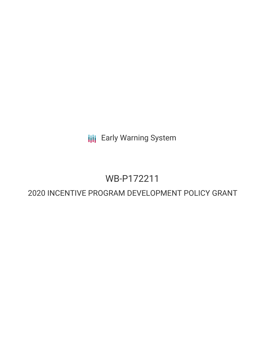**III** Early Warning System

# WB-P172211

## 2020 INCENTIVE PROGRAM DEVELOPMENT POLICY GRANT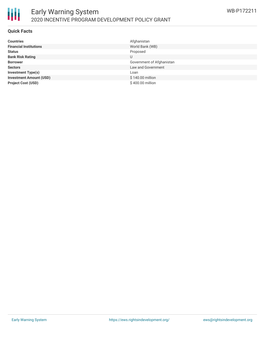

#### **Quick Facts**

| <b>Countries</b>               | Afghanistan               |
|--------------------------------|---------------------------|
| <b>Financial Institutions</b>  | World Bank (WB)           |
| <b>Status</b>                  | Proposed                  |
| <b>Bank Risk Rating</b>        | U                         |
| <b>Borrower</b>                | Government of Afghanistan |
| <b>Sectors</b>                 | Law and Government        |
| <b>Investment Type(s)</b>      | Loan                      |
| <b>Investment Amount (USD)</b> | \$140.00 million          |
| <b>Project Cost (USD)</b>      | \$400.00 million          |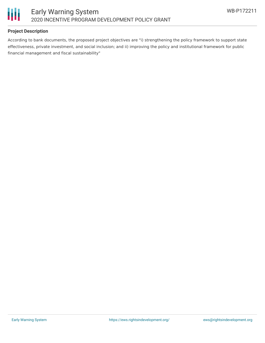

#### **Project Description**

According to bank documents, the proposed project objectives are "i) strengthening the policy framework to support state effectiveness, private investment, and social inclusion; and ii) improving the policy and institutional framework for public financial management and fiscal sustainability"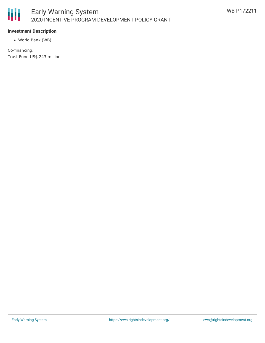

#### **Investment Description**

World Bank (WB)

Co-financing: Trust Fund US\$ 243 million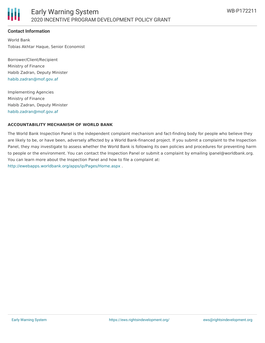### **Contact Information**

World Bank Tobias Akhtar Haque, Senior Economist

Borrower/Client/Recipient Ministry of Finance Habib Zadran, Deputy Minister [habib.zadran@mof.gov.af](mailto:habib.zadran@mof.gov.af)

Implementing Agencies Ministry of Finance Habib Zadran, Deputy Minister [habib.zadran@mof.gov.af](mailto:habib.zadran@mof.gov.af)

#### **ACCOUNTABILITY MECHANISM OF WORLD BANK**

The World Bank Inspection Panel is the independent complaint mechanism and fact-finding body for people who believe they are likely to be, or have been, adversely affected by a World Bank-financed project. If you submit a complaint to the Inspection Panel, they may investigate to assess whether the World Bank is following its own policies and procedures for preventing harm to people or the environment. You can contact the Inspection Panel or submit a complaint by emailing ipanel@worldbank.org. You can learn more about the Inspection Panel and how to file a complaint at: <http://ewebapps.worldbank.org/apps/ip/Pages/Home.aspx> .